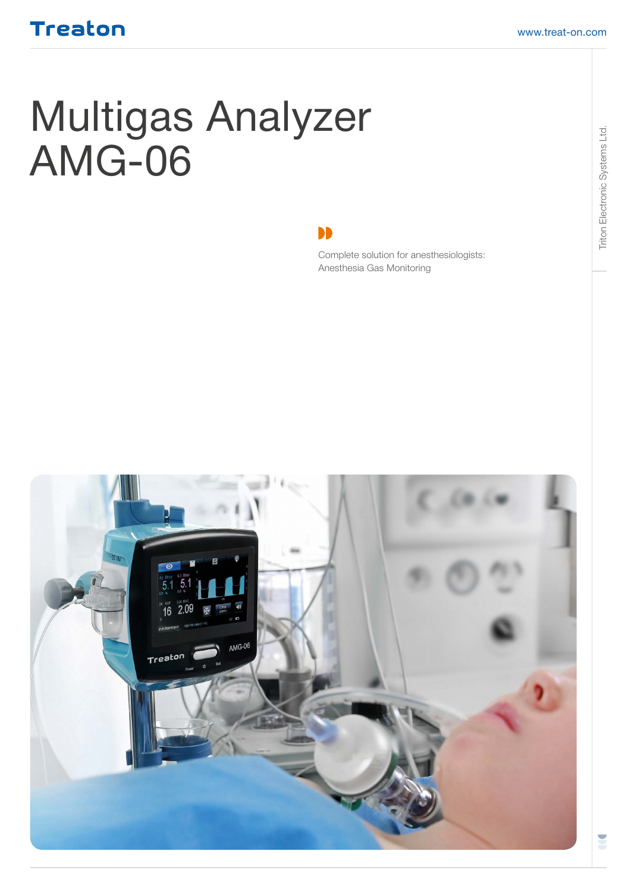# Multigas Analyzer AMG-06

DD

Complete solution for anesthesiologists: Anesthesia Gas Monitoring

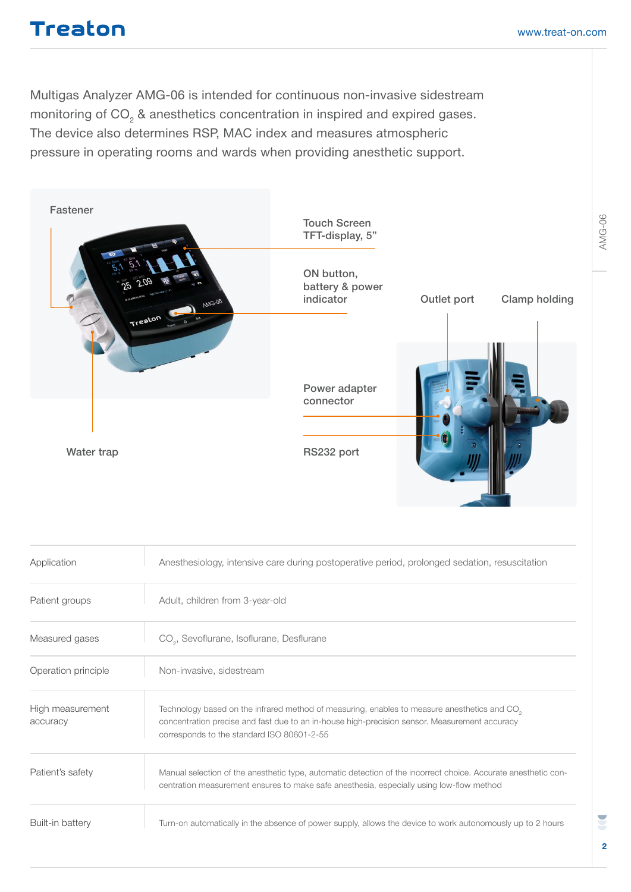Multigas Analyzer AMG-06 is intended for continuous non-invasive sidestream monitoring of CO<sub>2</sub> & anesthetics concentration in inspired and expired gases. The device also determines RSP, MAC index and measures atmospheric pressure in operating rooms and wards when providing anesthetic support.



| Application                  | Anesthesiology, intensive care during postoperative period, prolonged sedation, resuscitation                                                                                                                                                           |  |
|------------------------------|---------------------------------------------------------------------------------------------------------------------------------------------------------------------------------------------------------------------------------------------------------|--|
| Patient groups               | Adult, children from 3-year-old                                                                                                                                                                                                                         |  |
| Measured gases               | CO <sub>2</sub> , Sevoflurane, Isoflurane, Desflurane                                                                                                                                                                                                   |  |
| Operation principle          | Non-invasive, sidestream                                                                                                                                                                                                                                |  |
| High measurement<br>accuracy | Technology based on the infrared method of measuring, enables to measure anesthetics and CO <sub>2</sub><br>concentration precise and fast due to an in-house high-precision sensor. Measurement accuracy<br>corresponds to the standard ISO 80601-2-55 |  |
| Patient's safety             | Manual selection of the anesthetic type, automatic detection of the incorrect choice. Accurate anesthetic con-<br>centration measurement ensures to make safe anesthesia, especially using low-flow method                                              |  |
| Built-in battery             | Turn-on automatically in the absence of power supply, allows the device to work autonomously up to 2 hours                                                                                                                                              |  |

U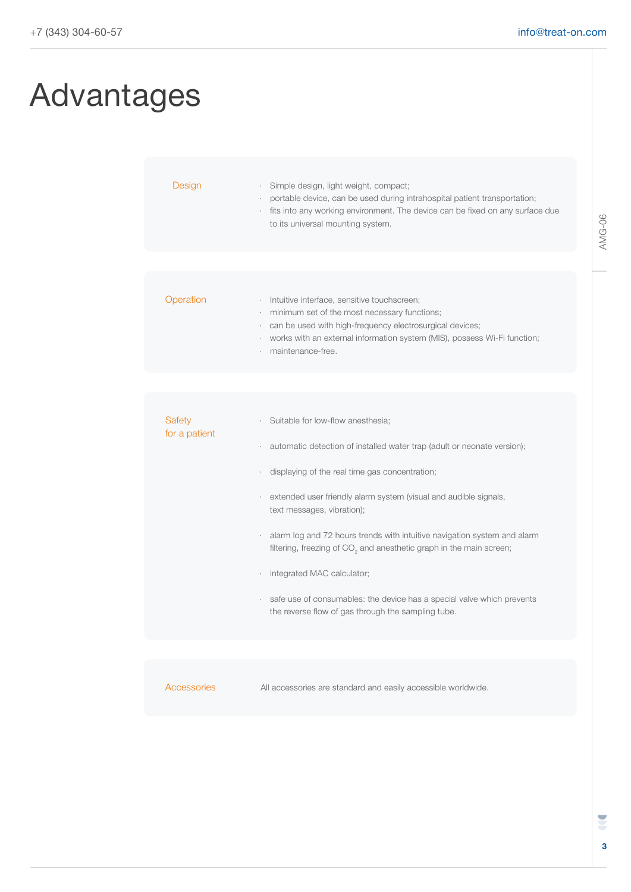### Advantages

| Design                  | Simple design, light weight, compact;<br>portable device, can be used during intrahospital patient transportation;<br>fits into any working environment. The device can be fixed on any surface due<br>to its universal mounting system.                                                                                                                                                                                                                                                                                                                                                      |
|-------------------------|-----------------------------------------------------------------------------------------------------------------------------------------------------------------------------------------------------------------------------------------------------------------------------------------------------------------------------------------------------------------------------------------------------------------------------------------------------------------------------------------------------------------------------------------------------------------------------------------------|
|                         |                                                                                                                                                                                                                                                                                                                                                                                                                                                                                                                                                                                               |
| Operation               | · Intuitive interface, sensitive touchscreen;<br>minimum set of the most necessary functions;<br>can be used with high-frequency electrosurgical devices;<br>works with an external information system (MIS), possess Wi-Fi function;<br>maintenance-free.                                                                                                                                                                                                                                                                                                                                    |
|                         |                                                                                                                                                                                                                                                                                                                                                                                                                                                                                                                                                                                               |
|                         |                                                                                                                                                                                                                                                                                                                                                                                                                                                                                                                                                                                               |
| Safety<br>for a patient | Suitable for low-flow anesthesia;<br>automatic detection of installed water trap (adult or neonate version);<br>displaying of the real time gas concentration;<br>extended user friendly alarm system (visual and audible signals,<br>text messages, vibration);<br>alarm log and 72 hours trends with intuitive navigation system and alarm<br>filtering, freezing of CO <sub>2</sub> and anesthetic graph in the main screen;<br>integrated MAC calculator;<br>safe use of consumables: the device has a special valve which prevents<br>the reverse flow of gas through the sampling tube. |
|                         |                                                                                                                                                                                                                                                                                                                                                                                                                                                                                                                                                                                               |
|                         |                                                                                                                                                                                                                                                                                                                                                                                                                                                                                                                                                                                               |

Accessories

All accessories are standard and easily accessible worldwide.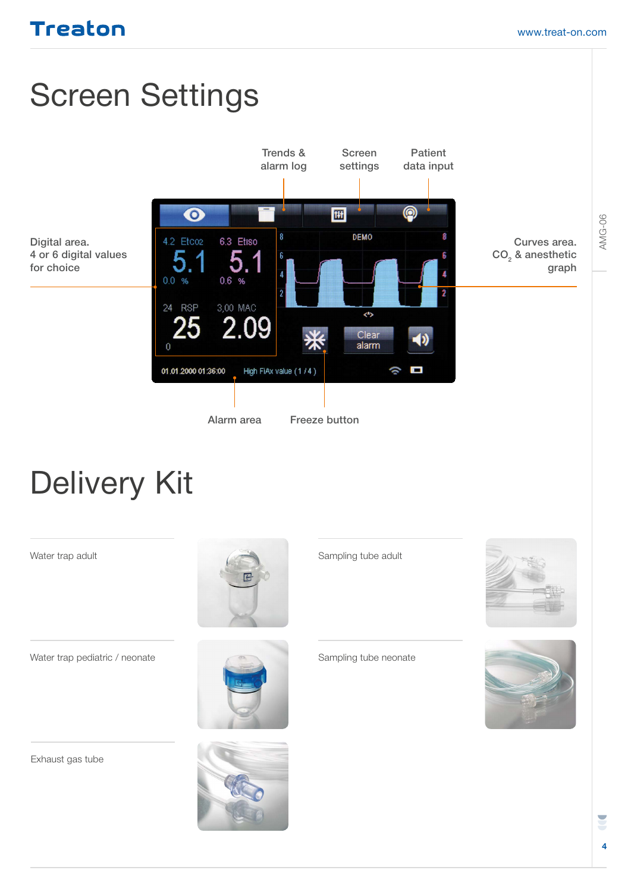## Screen Settings



## Delivery Kit

Digital area.

for choice



Exhaust gas tube





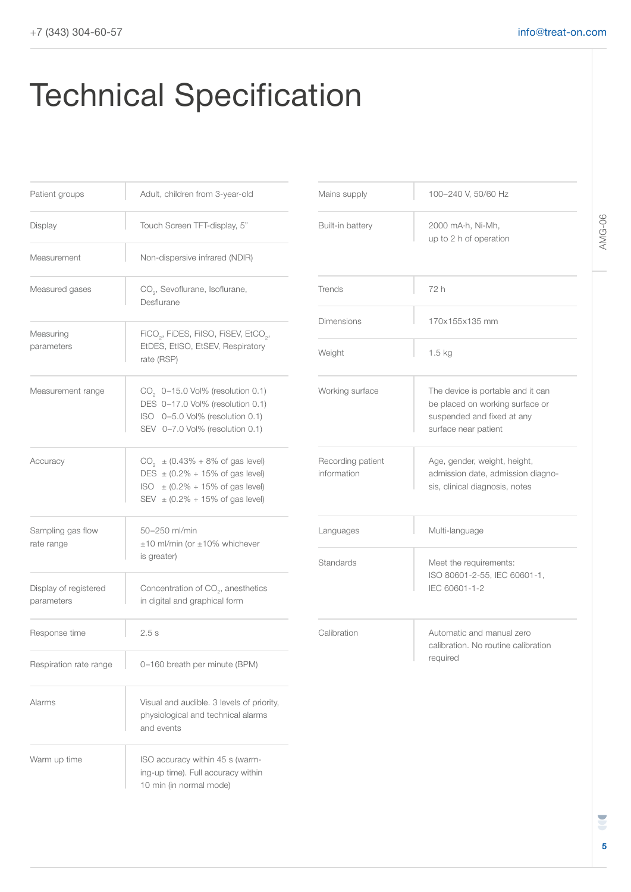# Technical Specification

| Patient groups                      | Adult, children from 3-year-old                                                                                                                                           | Mains supply                                                            | 100-240 V, 50/60 Hz                                                                           |
|-------------------------------------|---------------------------------------------------------------------------------------------------------------------------------------------------------------------------|-------------------------------------------------------------------------|-----------------------------------------------------------------------------------------------|
| Display                             | Touch Screen TFT-display, 5"                                                                                                                                              | Built-in battery                                                        | 2000 mA·h, Ni-Mh,<br>up to 2 h of operation                                                   |
| Measurement                         | Non-dispersive infrared (NDIR)                                                                                                                                            |                                                                         |                                                                                               |
| Measured gases                      | CO <sub>2</sub> , Sevoflurane, Isoflurane,<br>Desflurane                                                                                                                  | Trends                                                                  | 72 h                                                                                          |
| Measuring                           | FiCO <sub>2</sub> , FiDES, FilSO, FiSEV, EtCO <sub>2</sub> ,                                                                                                              | <b>Dimensions</b>                                                       | 170x155x135 mm                                                                                |
| parameters                          | EtDES, EtISO, EtSEV, Respiratory<br>rate (RSP)                                                                                                                            | Weight                                                                  | 1.5 <sub>kg</sub>                                                                             |
| Measurement range                   | CO <sub>2</sub> 0-15.0 Vol% (resolution 0.1)<br>DES 0-17.0 Vol% (resolution 0.1)<br>ISO 0-5.0 Vol% (resolution 0.1)<br>SEV 0-7.0 Vol% (resolution 0.1)                    | Working surface                                                         | The device is portable<br>be placed on working<br>suspended and fixed<br>surface near patient |
| Accuracy                            | $CO_2$ ± (0.43% + 8% of gas level)<br>DES $\pm (0.2\% + 15\% \text{ of gas level})$<br>$ISO = (0.2\% + 15\% \text{ of gas level})$<br>SEV $\pm$ (0.2% + 15% of gas level) | Recording patient<br>information                                        | Age, gender, weight,<br>admission date, adm<br>sis, clinical diagnosis                        |
| Sampling gas flow<br>rate range     | 50-250 ml/min<br>±10 ml/min (or ±10% whichever                                                                                                                            | Languages                                                               | Multi-language                                                                                |
|                                     | is greater)                                                                                                                                                               | Standards                                                               | Meet the requirement                                                                          |
| Display of registered<br>parameters | Concentration of CO <sub>2</sub> , anesthetics<br>in digital and graphical form                                                                                           |                                                                         | ISO 80601-2-55, IEC<br>IEC 60601-1-2                                                          |
| Response time                       | 2.5s                                                                                                                                                                      | Calibration<br>Automatic and manu<br>calibration. No routin<br>required |                                                                                               |
| Respiration rate range              | 0-160 breath per minute (BPM)                                                                                                                                             |                                                                         |                                                                                               |
| Alarms                              | Visual and audible. 3 levels of priority,<br>physiological and technical alarms<br>and events                                                                             |                                                                         |                                                                                               |
| Warm up time                        | ISO accuracy within 45 s (warm-<br>ing-up time). Full accuracy within<br>10 min (in normal mode)                                                                          |                                                                         |                                                                                               |

| Mains supply                     | 100-240 V, 50/60 Hz                                                                                                        |
|----------------------------------|----------------------------------------------------------------------------------------------------------------------------|
| Built-in battery                 | 2000 mA·h, Ni-Mh,<br>up to 2 h of operation                                                                                |
| Trends                           | 72 h                                                                                                                       |
| <b>Dimensions</b>                | 170x155x135 mm                                                                                                             |
| Weight                           | 1.5 kg                                                                                                                     |
| Working surface                  | The device is portable and it can<br>be placed on working surface or<br>suspended and fixed at any<br>surface near patient |
| Recording patient<br>information | Age, gender, weight, height,<br>admission date, admission diagno-<br>sis, clinical diagnosis, notes                        |
| Languages                        | Multi-language                                                                                                             |
| Standards                        | Meet the requirements:<br>ISO 80601-2-55, IEC 60601-1,<br>IEC 60601-1-2                                                    |
| Calibration                      | Automatic and manual zero<br>calibration. No routine calibration<br>required                                               |

AMG-06

U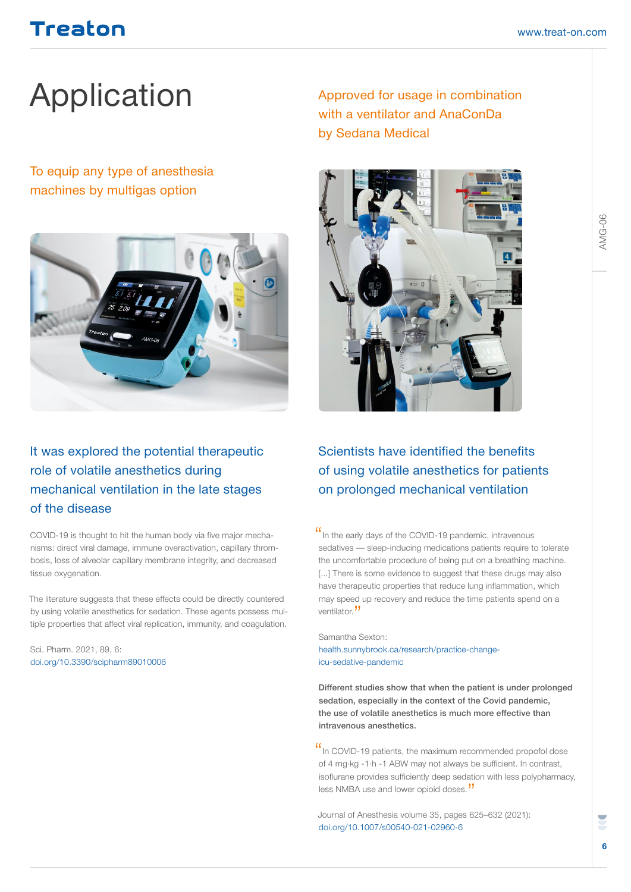# Application Approved for usage in combination

To equip any type of anesthesia machines by multigas option



#### It was explored the potential therapeutic role of volatile anesthetics during mechanical ventilation in the late stages of the disease

COVID-19 is thought to hit the human body via five major mechanisms: direct viral damage, immune overactivation, capillary thrombosis, loss of alveolar capillary membrane integrity, and decreased tissue oxygenation.

The literature suggests that these effects could be directly countered by using volatile anesthetics for sedation. These agents possess multiple properties that affect viral replication, immunity, and coagulation.

Sci. Pharm. 2021, 89, 6: doi.org/10.3390/scipharm89010006

with a ventilator and AnaConDa by Sedana Medical



#### Scientists have identified the benefits of using volatile anesthetics for patients on prolonged mechanical ventilation

If In the early days of the COVID-19 pandemic, intravenous sedatives — sleep-inducing medications patients require to tolerate the uncomfortable procedure of being put on a breathing machine. [...] There is some evidence to suggest that these drugs may also have therapeutic properties that reduce lung inflammation, which may speed up recovery and reduce the time patients spend on a ventilator.<sup>"</sup>

Samantha Sexton: health.sunnybrook.ca/research/practice-changeicu-sedative-pandemic

Different studies show that when the patient is under prolonged sedation, especially in the context of the Covid pandemic, the use of volatile anesthetics is much more effective than intravenous anesthetics.

"In COVID-19 patients, the maximum recommended propofol dose of 4 mg·kg -1·h -1 ABW may not always be sufficient. In contrast, isoflurane provides sufficiently deep sedation with less polypharmacy, less NMBA use and lower opioid doses."

Journal of Anesthesia volume 35, pages 625–632 (2021): doi.org/10.1007/s00540-021-02960-6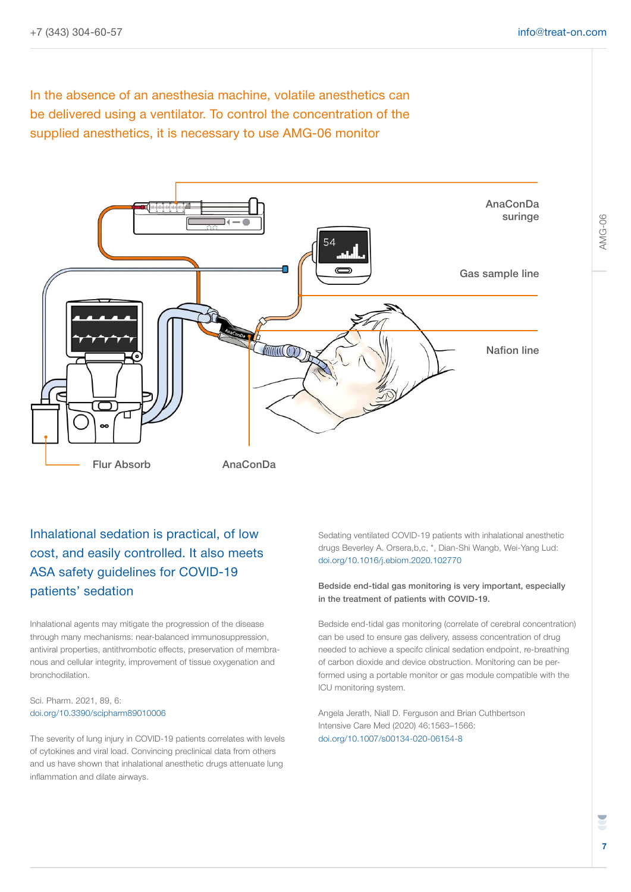In the absence of an anesthesia machine, volatile anesthetics can be delivered using a ventilator. To control the concentration of the supplied anesthetics, it is necessary to use AMG-06 monitor



#### Inhalational sedation is practical, of low cost, and easily controlled. It also meets ASA safety guidelines for COVID-19 patients' sedation

Inhalational agents may mitigate the progression of the disease through many mechanisms: near-balanced immunosuppression, antiviral properties, antithrombotic effects, preservation of membranous and cellular integrity, improvement of tissue oxygenation and bronchodilation.

#### Sci. Pharm. 2021, 89, 6: doi.org/10.3390/scipharm89010006

The severity of lung injury in COVID-19 patients correlates with levels of cytokines and viral load. Convincing preclinical data from others and us have shown that inhalational anesthetic drugs attenuate lung inflammation and dilate airways.

Sedating ventilated COVID-19 patients with inhalational anesthetic drugs Beverley A. Orsera,b,c, \*, Dian-Shi Wangb, Wei-Yang Lud: doi.org/10.1016/j.ebiom.2020.102770

#### Bedside end-tidal gas monitoring is very important, especially in the treatment of patients with COVID-19.

Bedside end-tidal gas monitoring (correlate of cerebral concentration) can be used to ensure gas delivery, assess concentration of drug needed to achieve a specifc clinical sedation endpoint, re-breathing of carbon dioxide and device obstruction. Monitoring can be performed using a portable monitor or gas module compatible with the ICU monitoring system.

Angela Jerath, Niall D. Ferguson and Brian Cuthbertson Intensive Care Med (2020) 46:1563–1566: doi.org/10.1007/s00134-020-06154-8